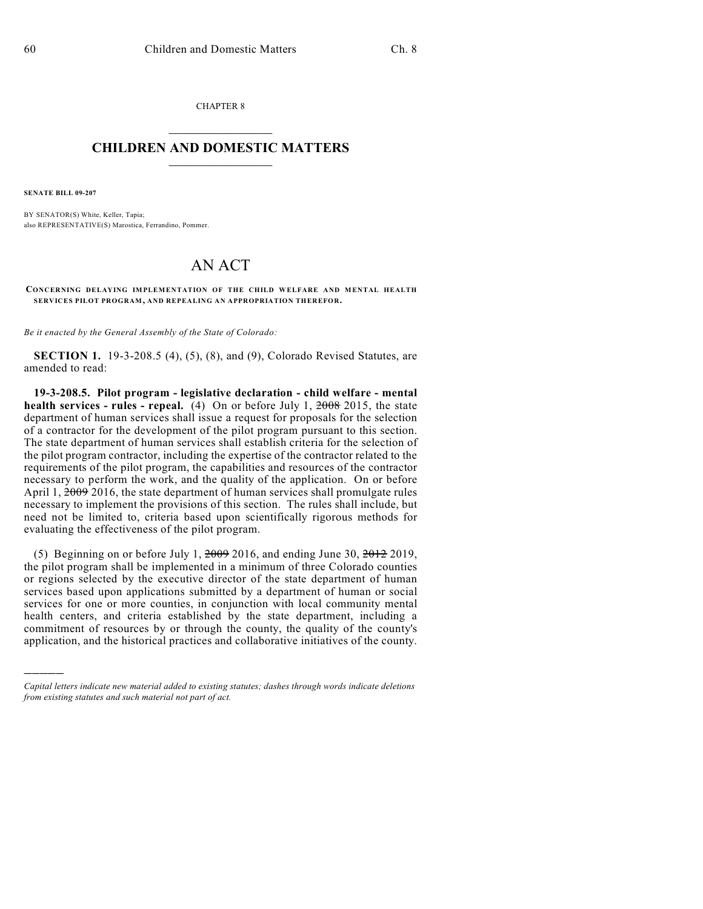CHAPTER 8  $\overline{\phantom{a}}$  . The set of the set of the set of the set of the set of the set of the set of the set of the set of the set of the set of the set of the set of the set of the set of the set of the set of the set of the set o

## **CHILDREN AND DOMESTIC MATTERS**  $\_$

**SENATE BILL 09-207**

)))))

BY SENATOR(S) White, Keller, Tapia; also REPRESENTATIVE(S) Marostica, Ferrandino, Pommer.

## AN ACT

**CONCERNING DELAYING IMPLEMENTATION OF THE CHILD WELFARE AND MENTAL HEALTH SERVICES PILOT PROGRAM, AND REPEALING AN APPROPRIATION THEREFOR.**

*Be it enacted by the General Assembly of the State of Colorado:*

**SECTION 1.** 19-3-208.5 (4), (5), (8), and (9), Colorado Revised Statutes, are amended to read:

**19-3-208.5. Pilot program - legislative declaration - child welfare - mental health services - rules - repeal.** (4) On or before July 1, 2008 2015, the state department of human services shall issue a request for proposals for the selection of a contractor for the development of the pilot program pursuant to this section. The state department of human services shall establish criteria for the selection of the pilot program contractor, including the expertise of the contractor related to the requirements of the pilot program, the capabilities and resources of the contractor necessary to perform the work, and the quality of the application. On or before April 1,  $\frac{2009}{2016}$ , the state department of human services shall promulgate rules necessary to implement the provisions of this section. The rules shall include, but need not be limited to, criteria based upon scientifically rigorous methods for evaluating the effectiveness of the pilot program.

(5) Beginning on or before July 1,  $2009$  2016, and ending June 30,  $2012$  2019, the pilot program shall be implemented in a minimum of three Colorado counties or regions selected by the executive director of the state department of human services based upon applications submitted by a department of human or social services for one or more counties, in conjunction with local community mental health centers, and criteria established by the state department, including a commitment of resources by or through the county, the quality of the county's application, and the historical practices and collaborative initiatives of the county.

*Capital letters indicate new material added to existing statutes; dashes through words indicate deletions from existing statutes and such material not part of act.*